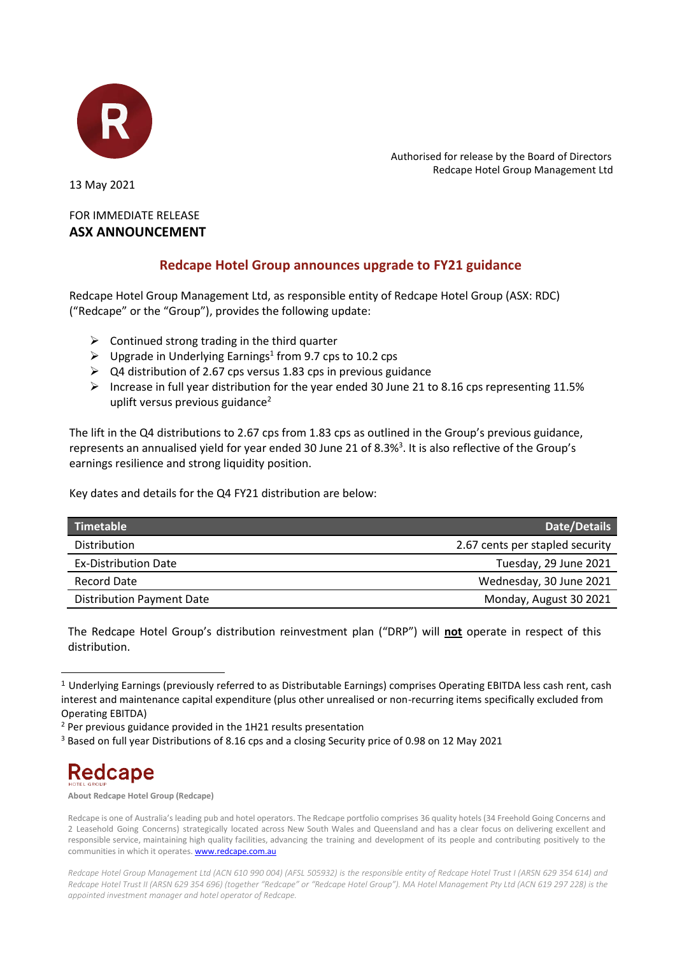

 Authorised for release by the Board of Directors Redcape Hotel Group Management Ltd

13 May 2021

## FOR IMMEDIATE RELEASE **ASX ANNOUNCEMENT**

## **Redcape Hotel Group announces upgrade to FY21 guidance**

Redcape Hotel Group Management Ltd, as responsible entity of Redcape Hotel Group (ASX: RDC) ("Redcape" or the "Group"), provides the following update:

- $\triangleright$  Continued strong trading in the third quarter
- $\triangleright$  Upgrade in Underlying Earnings<sup>1</sup> from 9.7 cps to 10.2 cps
- $\geq$  Q4 distribution of 2.67 cps versus 1.83 cps in previous guidance
- ➢ Increase in full year distribution for the year ended 30 June 21 to 8.16 cps representing 11.5% uplift versus previous guidance<sup>2</sup>

The lift in the Q4 distributions to 2.67 cps from 1.83 cps as outlined in the Group's previous guidance, represents an annualised yield for year ended 30 June 21 of 8.3%<sup>3</sup>. It is also reflective of the Group's earnings resilience and strong liquidity position.

Key dates and details for the Q4 FY21 distribution are below:

| Timetable                        | <b>Date/Details</b>             |
|----------------------------------|---------------------------------|
| <b>Distribution</b>              | 2.67 cents per stapled security |
| <b>Ex-Distribution Date</b>      | Tuesday, 29 June 2021           |
| Record Date                      | Wednesday, 30 June 2021         |
| <b>Distribution Payment Date</b> | Monday, August 30 2021          |

The Redcape Hotel Group's distribution reinvestment plan ("DRP") will **not** operate in respect of this distribution.

<sup>&</sup>lt;sup>3</sup> Based on full year Distributions of 8.16 cps and a closing Security price of 0.98 on 12 May 2021



**About Redcape Hotel Group (Redcape)**

<sup>1</sup> Underlying Earnings (previously referred to as Distributable Earnings) comprises Operating EBITDA less cash rent, cash interest and maintenance capital expenditure (plus other unrealised or non-recurring items specifically excluded from Operating EBITDA)

 $2$  Per previous guidance provided in the 1H21 results presentation

Redcape is one of Australia's leading pub and hotel operators. The Redcape portfolio comprises 36 quality hotels (34 Freehold Going Concerns and 2 Leasehold Going Concerns) strategically located across New South Wales and Queensland and has a clear focus on delivering excellent and responsible service, maintaining high quality facilities, advancing the training and development of its people and contributing positively to the communities in which it operates[. www.redcape.com.au](http://www.redcape.com.au/)

*Redcape Hotel Group Management Ltd (ACN 610 990 004) (AFSL 505932) is the responsible entity of Redcape Hotel Trust I (ARSN 629 354 614) and Redcape Hotel Trust II (ARSN 629 354 696) (together "Redcape" or "Redcape Hotel Group"). MA Hotel Management Pty Ltd (ACN 619 297 228) is the appointed investment manager and hotel operator of Redcape.*